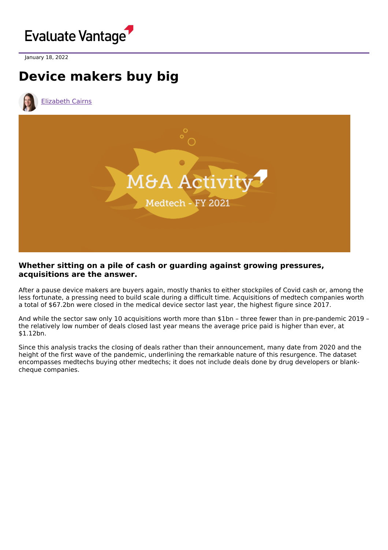

January 18, 2022

# **Device makers buy big**

[Elizabeth](https://www.evaluate.com/vantage/editorial-team/elizabeth-cairns) Cairns



## **Whether sitting on a pile of cash or guarding against growing pressures, acquisitions are the answer.**

After a pause device makers are buyers again, mostly thanks to either stockpiles of Covid cash or, among the less fortunate, a pressing need to build scale during a difficult time. Acquisitions of medtech companies worth a total of \$67.2bn were closed in the medical device sector last year, the highest figure since 2017.

And while the sector saw only 10 acquisitions worth more than \$1bn – three fewer than in pre-pandemic 2019 – the relatively low number of deals closed last year means the average price paid is higher than ever, at \$1.12bn.

Since this analysis tracks the closing of deals rather than their announcement, many date from 2020 and the height of the first wave of the pandemic, underlining the remarkable nature of this resurgence. The dataset encompasses medtechs buying other medtechs; it does not include deals done by drug developers or blankcheque companies.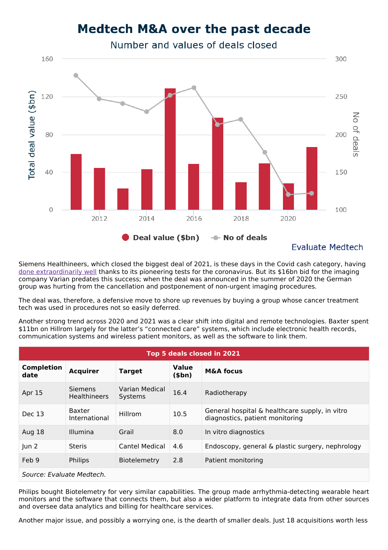## **Medtech M&A over the past decade**

Number and values of deals closed



**Evaluate Medtech** 

Siemens Healthineers, which closed the biggest deal of 2021, is these days in the Covid cash category, having done [extraordinarily](https://www.evaluate.com/vantage/articles/insights/quarterly-shareprice-performance/bad-year-be-american-medtech) well thanks to its pioneering tests for the coronavirus. But its \$16bn bid for the imaging company Varian predates this success; when the deal was announced in the summer of 2020 the German group was hurting from the cancellation and postponement of non-urgent imaging procedures.

The deal was, therefore, a defensive move to shore up revenues by buying a group whose cancer treatment tech was used in procedures not so easily deferred.

Another strong trend across 2020 and 2021 was a clear shift into digital and remote technologies. Baxter spent \$11bn on Hillrom largely for the latter's "connected care" systems, which include electronic health records, communication systems and wireless patient monitors, as well as the software to link them.

| Top 5 deals closed in 2021 |                                |                           |                        |                                                                                   |
|----------------------------|--------------------------------|---------------------------|------------------------|-----------------------------------------------------------------------------------|
| <b>Completion</b><br>date  | <b>Acquirer</b>                | <b>Target</b>             | <b>Value</b><br>(\$bn) | <b>M&amp;A focus</b>                                                              |
| Apr 15                     | Siemens<br><b>Healthineers</b> | Varian Medical<br>Systems | 16.4                   | Radiotherapy                                                                      |
| Dec 13                     | <b>Baxter</b><br>International | Hillrom                   | 10.5                   | General hospital & healthcare supply, in vitro<br>diagnostics, patient monitoring |
| Aug 18                     | <b>Illumina</b>                | Grail                     | 8.0                    | In vitro diagnostics                                                              |
| un 2                       | <b>Steris</b>                  | <b>Cantel Medical</b>     | 4.6                    | Endoscopy, general & plastic surgery, nephrology                                  |
| Feb 9                      | <b>Philips</b>                 | <b>Biotelemetry</b>       | 2.8                    | Patient monitoring                                                                |
| Source: Evaluate Medtech.  |                                |                           |                        |                                                                                   |

Philips bought Biotelemetry for very similar capabilities. The group made arrhythmia-detecting wearable heart monitors and the software that connects them, but also a wider platform to integrate data from other sources and oversee data analytics and billing for healthcare services.

Another major issue, and possibly a worrying one, is the dearth of smaller deals. Just 18 acquisitions worth less